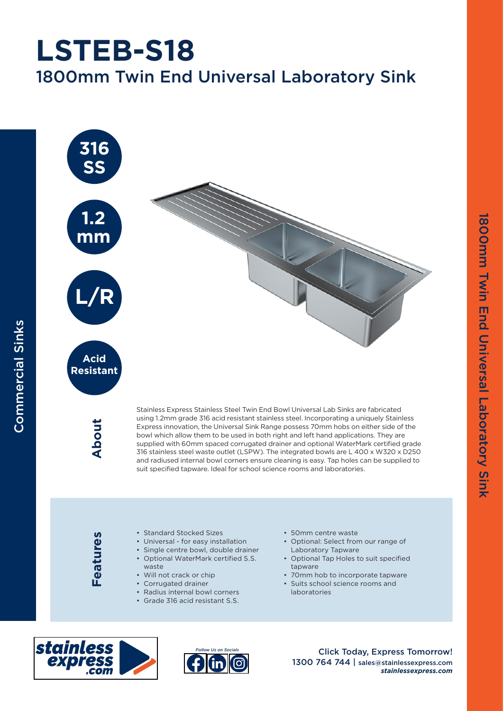## 1800mm Twin End Universal Laboratory Sink **LSTEB-S18**



**Resistant**

Commercial Sinks

**Commercial Sinks** 

**About**

Stainless Express Stainless Steel Twin End Bowl Universal Lab Sinks are fabricated using 1.2mm grade 316 acid resistant stainless steel. Incorporating a uniquely Stainless Express innovation, the Universal Sink Range possess 70mm hobs on either side of the bowl which allow them to be used in both right and left hand applications. They are supplied with 60mm spaced corrugated drainer and optional WaterMark certified grade 316 stainless steel waste outlet (LSPW). The integrated bowls are L 400 x W320 x D250 and radiused internal bowl corners ensure cleaning is easy. Tap holes can be supplied to suit specified tapware. Ideal for school science rooms and laboratories.

Features **Features**

- Standard Stocked Sizes
- Universal for easy installation
- Single centre bowl, double drainer
- Optional WaterMark certified S.S.
- waste
- Will not crack or chip
- Corrugated drainer
- Radius internal bowl corners
- Grade 316 acid resistant S.S.

• 50mm centre waste

- Optional: Select from our range of Laboratory Tapware
- Optional Tap Holes to suit specified tapware
- 70mm hob to incorporate tapware
- Suits school science rooms and laboratories





Click Today, Express Tomorrow! 1300 764 744 | sales@stainlessexpress.com *stainlessexpress.com*